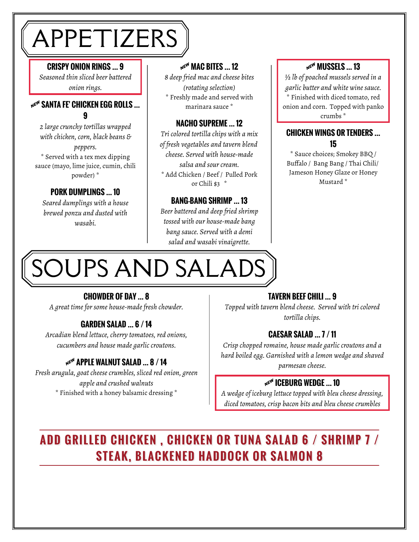## APPETIZERS

#### **CRISPY ONION RINGS … 9**

*Seasoned thin sliced beer battered onion rings.*

#### **NE<sup>W</sup> SANTA FE' CHICKEN EGG ROLLS ... 9**

*2 large crunchy tortillas wrapped with chicken, corn, black beans & peppers.* \* Served with a tex mex dipping sauce (mayo, lime juice, cumin, chili powder) \*

#### **PORK DUMPLINGS … 10**

*Seared dumplings with a house brewed ponzu and dusted with wasabi.*

#### **ME<sup>W</sup> MAC BITES ... 12**

*8 deep fried mac and cheese bites (rotating selection)* \* Freshly made and served with marinara sauce \*

#### **NACHO SUPREME … 12**

*Tri colored tortilla chips with a mix of fresh vegetables and tavern blend cheese. Served with house-made salsa and sour cream.* \* Add Chicken / Beef / Pulled Pork or Chili \$3 \*

#### **BANG-BANG SHRIMP … 13**

*Beer battered and deep fried shrimp tossed with our house-made bang bang sauce. Served with a demi salad and wasabi vinaigrette.*

#### $M<sup>EM</sup>$  MUSSELS ... 13

*½ lb of poached mussels served in a garlic butter and white wine sauce.* \* Finished with diced tomato, red onion and corn. Topped with panko crumbs \*

#### **CHICKEN WINGS OR TENDERS … 15**

\* Sauce choices; Smokey BBQ / Buffalo / Bang Bang / Thai Chili/ Jameson Honey Glaze or Honey Mustard \*

# OUPS AND SALADS

### **CHOWDER OF DAY … 8**

*A great time for some house-made fresh chowder.*

#### **GARDEN SALAD … 6 / 14**

*Arcadian blend lettuce, cherry tomatoes, red onions, cucumbers and house made garlic croutons.*

*Fresh arugula, goat cheese crumbles, sliced red onion, green apple and crushed walnuts* \* Finished with a honey balsamic dressing \*

### **TAVERN BEEF CHILI … 9**

*Topped with tavern blend cheese. Served with tri colored tortilla chips.*

#### **CAESAR SALAD … 7 / 11**

*Crisp chopped romaine, house made garlic croutons and a hard boiled egg. Garnished with a lemon wedge and shaved* <sup>A</sup> *parmesan cheese.* **APPLE WALNUT SALAD … 8 / 14**

#### **NE<sup>W</sup> ICEBURG WEDGE ... 10**

*A wedge of iceburg lettuce topped with bleu cheese dressing, diced tomatoes, crisp bacon bits and bleu cheese crumbles*

### **ADD GRILLED CHICKEN , CHICKEN OR TUNA SALAD 6 / SHRIMP 7 / STEAK, BLACKENED HADDOCK OR SALMON 8**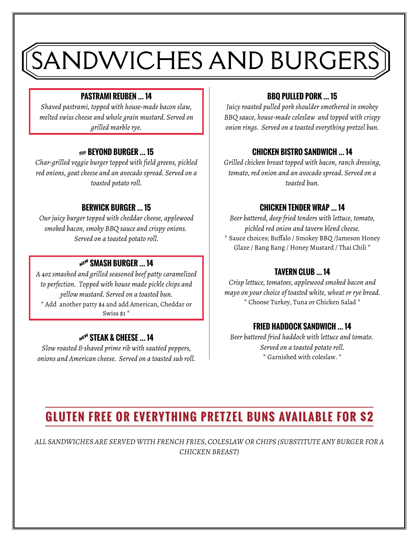# SANDWICHES AND BURGERS

#### **PASTRAMI REUBEN … 14**

*Shaved pastrami, topped with house-made bacon slaw, melted swiss cheese and whole grain mustard. Served on grilled marble rye.*

#### **VEGAN REVOND BURGER 15**

*Char-grilled veggie burger topped with field greens, pickled red onions, goat cheese and an avocado spread. Served on a toasted potato roll.*

#### **BERWICK BURGER … 15**

*Our juicy burger topped with cheddar cheese, applewood smoked bacon, smoky BBQ sauce and crispy onions. Served on a toasted potato roll.*

#### NEW SMASH BURGER ... 14

*A 4oz smashed and grilled seasoned beef patty caramelized to perfection. Topped with house made pickle chips and yellow mustard. Served on a toasted bun.* \* Add another patty \$4 and add American, Cheddar or Swiss \$1 \*

#### $N^{gN}$  STEAK & CHEESE ... 14

*Slow roasted & shaved prime rib with sautéed peppers, onions and American cheese. Served on a toasted sub roll.*

#### **BBQ PULLED PORK … 15**

*Juicy roasted pulled pork shoulder smothered in smokey BBQ sauce, house-made coleslaw and topped with crispy onion rings. Served on a toasted everything pretzel bun.*

#### **CHICKEN BISTRO SANDWICH … 14**

*Grilled chicken breast topped with bacon, ranch dressing, tomato, red onion and an avocado spread. Served on a toasted bun.*

#### **CHICKEN TENDER WRAP … 14**

*Beer battered, deep fried tenders with lettuce, tomato, pickled red onion and tavern blend cheese.* \* Sauce choices; Buffalo / Smokey BBQ /Jameson Honey Glaze / Bang Bang / Honey Mustard / Thai Chili \*

#### **TAVERN CLUB … 14**

*Crisp lettuce, tomatoes, applewood smoked bacon and mayo on your choice of toasted white, wheat or rye bread.* \* Choose Turkey, Tuna or Chicken Salad \*

#### **FRIED HADDOCK SANDWICH … 14**

*Beer battered fried haddock with lettuce and tomato. Served on a toasted potato roll.* \* Garnished with coleslaw. \*

### **GLUTEN FREE OR EVERYTHING PRETZEL BUNS AVAILABLE FOR \$2**

*ALL SANDWICHES ARE SERVED WITH FRENCH FRIES, COLESLAW OR CHIPS (SUBSTITUTE ANY BURGER FOR A CHICKEN BREAST)*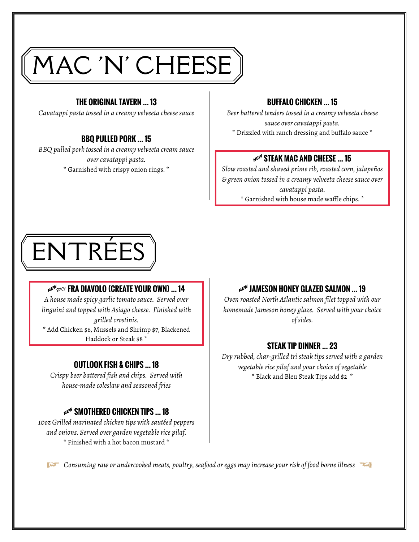# MAC 'N' CHEESE

#### **THE ORIGINAL TAVERN … 13**

*Cavatappi pasta tossed in a creamy velveeta cheese sauce*

#### **BBQ PULLED PORK … 15**

*BBQ pulled pork tossed in a creamy velveeta cream sauce over cavatappi pasta.* \* Garnished with crispy onion rings. \*

#### **BUFFALO CHICKEN … 15**

*Beer battered tenders tossed in a creamy velveeta cheese sauce over cavatappi pasta.* \* Drizzled with ranch dressing and buffalo sauce \*

#### **NEW STEAK MAC AND CHEESE ... 15**

*Slow roasted and shaved prime rib, roasted corn, jalapeños & green onion tossed in a creamy velveeta cheese sauce over cavatappi pasta.* \* Garnished with house made waffle chips. \*



#### $\mathbf{A}^{\mathbf{g} \mathbf{w}^H \mathbf{g} \mathbf{p} \mathbf{l} \mathbf{c} \mathbf{v}}$  **FRA DIAVOLO (CREATE YOUR OWN) ... 14**

*A house made spicy garlic tomato sauce. Served over linguini and topped with Asiago cheese. Finished with grilled crostinis.* \* Add Chicken \$6, Mussels and Shrimp \$7, Blackened Haddock or Steak \$8 \*

#### **OUTLOOK FISH & CHIPS … 18**

*Crispy beer battered fish and chips. Served with house-made coleslaw and seasoned fries*

#### $M \infty$ <sup>N</sup> SMOTHERED CHICKEN TIPS ... 18

*10oz Grilled marinated chicken tips with sautéed peppers and onions. Served over garden vegetable rice pilaf.* \* Finished with a hot bacon mustard \*

#### **NE<sup>W</sup> JAMESON HONEY GLAZED SALMON ... 19**

*Oven roasted North Atlantic salmon filet topped with our homemade Jameson honey glaze. Served with your choice of sides.*

#### **STEAK TIP DINNER … 23**

*Dry rubbed, char-grilled tri steak tips served with a garden vegetable rice pilaf and your choice of vegetable* \* Black and Bleu Steak Tips add \$2 \*

*Consuming raw or undercooked meats, poultry, seafood or eggs may increase your risk of food borne illness*